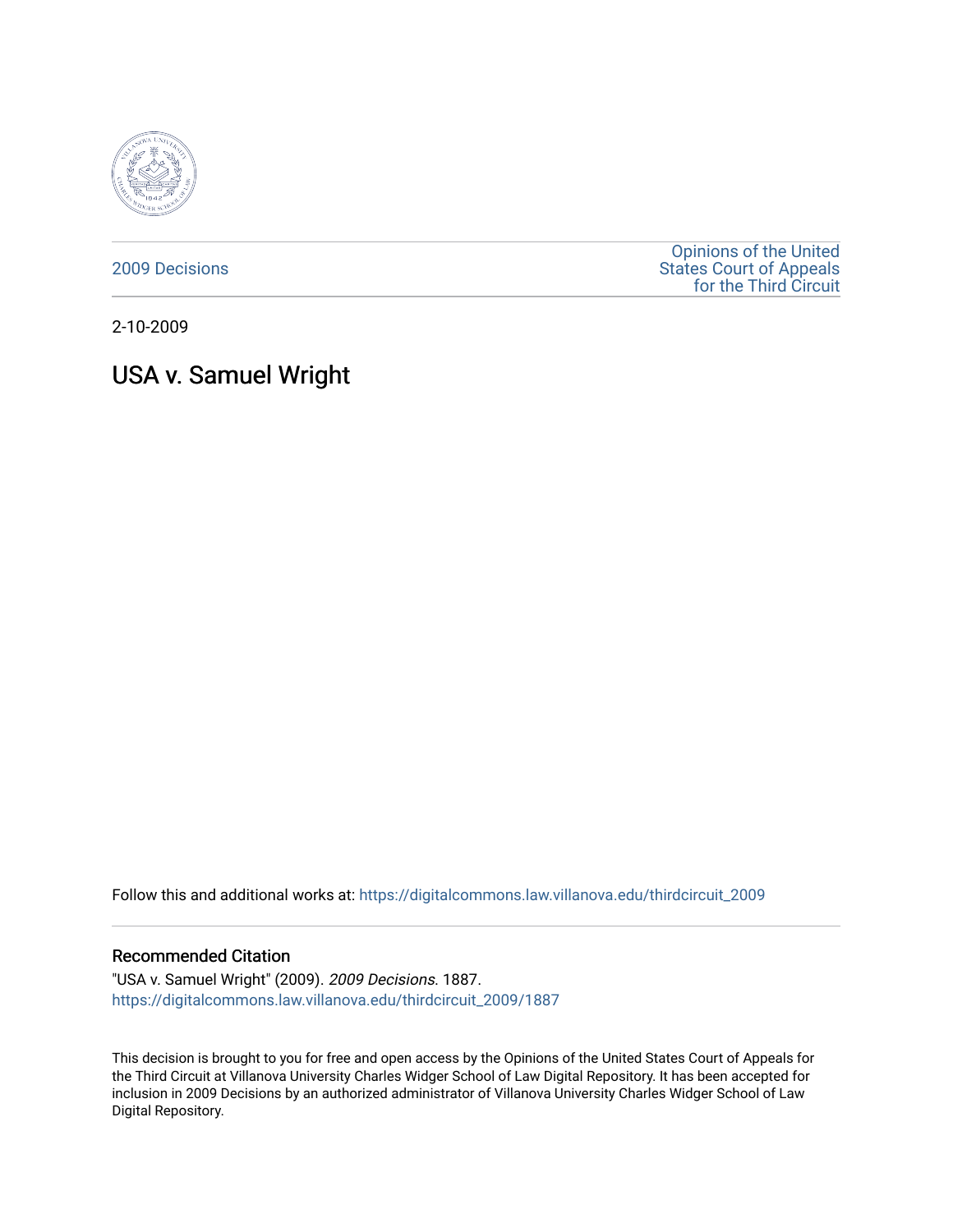

[2009 Decisions](https://digitalcommons.law.villanova.edu/thirdcircuit_2009)

[Opinions of the United](https://digitalcommons.law.villanova.edu/thirdcircuit)  [States Court of Appeals](https://digitalcommons.law.villanova.edu/thirdcircuit)  [for the Third Circuit](https://digitalcommons.law.villanova.edu/thirdcircuit) 

2-10-2009

# USA v. Samuel Wright

Follow this and additional works at: [https://digitalcommons.law.villanova.edu/thirdcircuit\\_2009](https://digitalcommons.law.villanova.edu/thirdcircuit_2009?utm_source=digitalcommons.law.villanova.edu%2Fthirdcircuit_2009%2F1887&utm_medium=PDF&utm_campaign=PDFCoverPages) 

#### Recommended Citation

"USA v. Samuel Wright" (2009). 2009 Decisions. 1887. [https://digitalcommons.law.villanova.edu/thirdcircuit\\_2009/1887](https://digitalcommons.law.villanova.edu/thirdcircuit_2009/1887?utm_source=digitalcommons.law.villanova.edu%2Fthirdcircuit_2009%2F1887&utm_medium=PDF&utm_campaign=PDFCoverPages) 

This decision is brought to you for free and open access by the Opinions of the United States Court of Appeals for the Third Circuit at Villanova University Charles Widger School of Law Digital Repository. It has been accepted for inclusion in 2009 Decisions by an authorized administrator of Villanova University Charles Widger School of Law Digital Repository.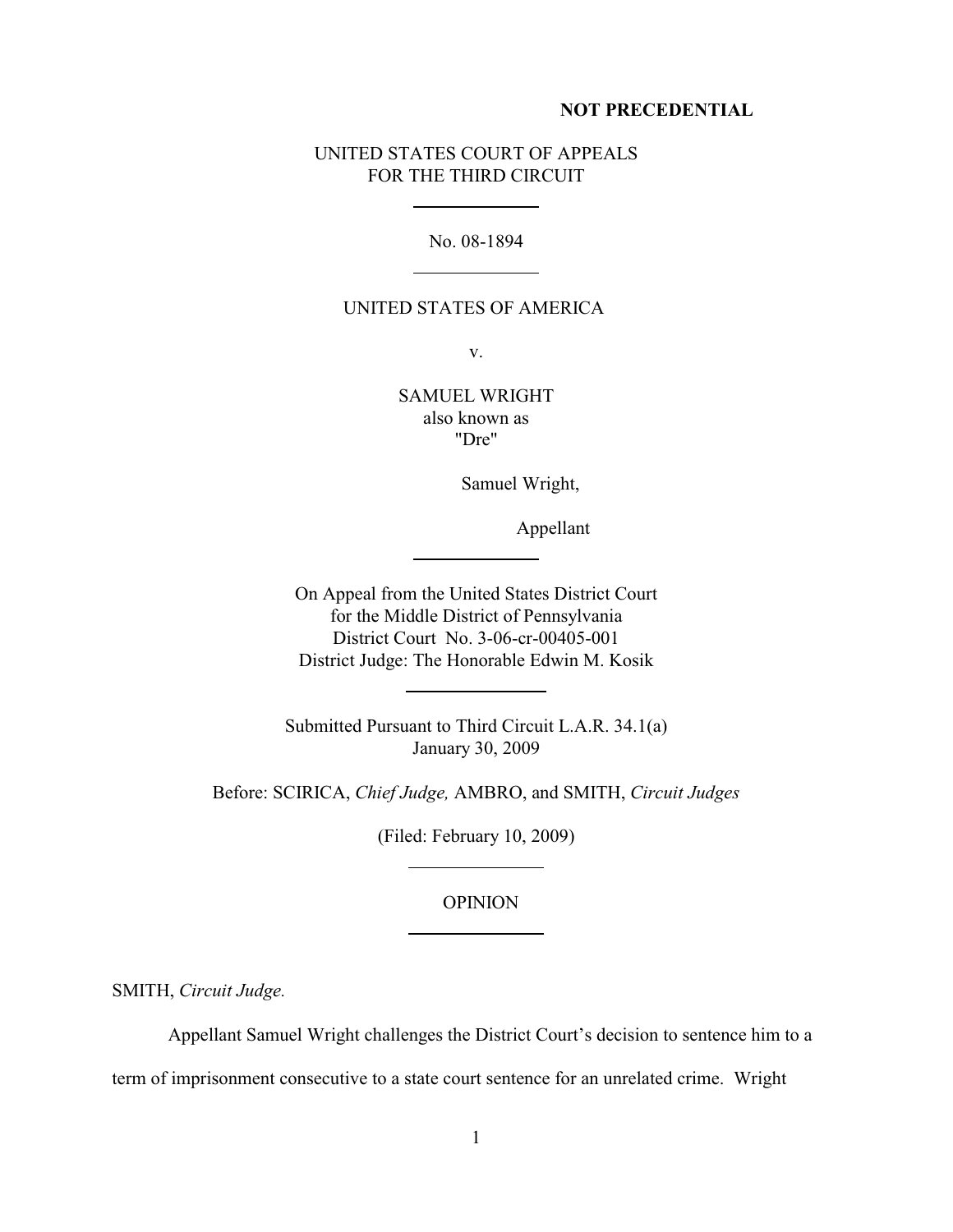#### **NOT PRECEDENTIAL**

# UNITED STATES COURT OF APPEALS FOR THE THIRD CIRCUIT

l

 $\overline{a}$ 

l

 $\overline{a}$ 

 $\overline{a}$ 

l

No. 08-1894

## UNITED STATES OF AMERICA

v.

SAMUEL WRIGHT also known as "Dre"

Samuel Wright,

Appellant

On Appeal from the United States District Court for the Middle District of Pennsylvania District Court No. 3-06-cr-00405-001 District Judge: The Honorable Edwin M. Kosik

Submitted Pursuant to Third Circuit L.A.R. 34.1(a) January 30, 2009

Before: SCIRICA, *Chief Judge,* AMBRO, and SMITH, *Circuit Judges*

(Filed: February 10, 2009)

### OPINION

SMITH, *Circuit Judge.*

Appellant Samuel Wright challenges the District Court's decision to sentence him to a

term of imprisonment consecutive to a state court sentence for an unrelated crime. Wright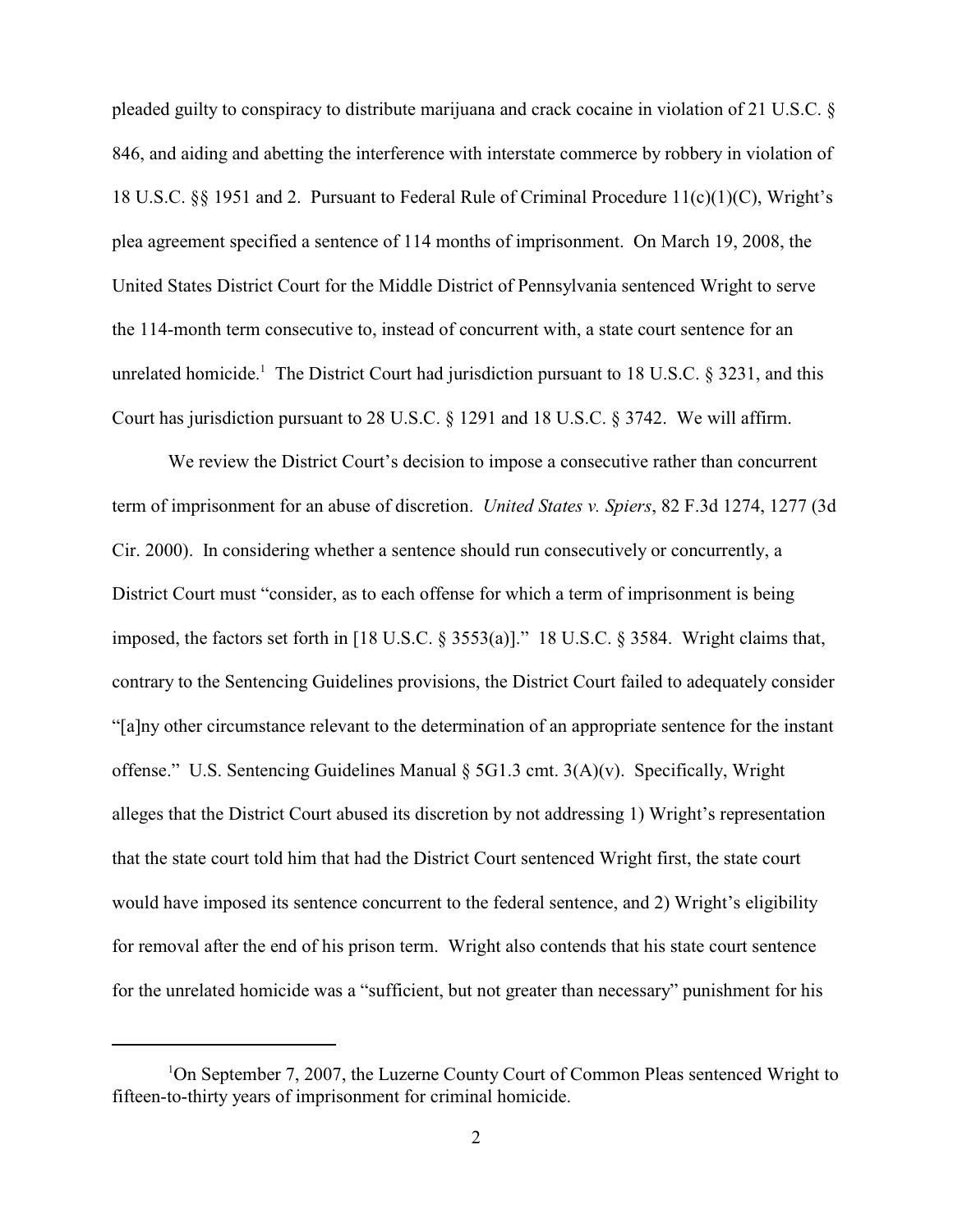pleaded guilty to conspiracy to distribute marijuana and crack cocaine in violation of 21 U.S.C. § 846, and aiding and abetting the interference with interstate commerce by robbery in violation of 18 U.S.C. §§ 1951 and 2. Pursuant to Federal Rule of Criminal Procedure 11(c)(1)(C), Wright's plea agreement specified a sentence of 114 months of imprisonment. On March 19, 2008, the United States District Court for the Middle District of Pennsylvania sentenced Wright to serve the 114-month term consecutive to, instead of concurrent with, a state court sentence for an unrelated homicide.<sup>1</sup> The District Court had jurisdiction pursuant to 18 U.S.C. § 3231, and this Court has jurisdiction pursuant to 28 U.S.C. § 1291 and 18 U.S.C. § 3742. We will affirm.

We review the District Court's decision to impose a consecutive rather than concurrent term of imprisonment for an abuse of discretion. *United States v. Spiers*, 82 F.3d 1274, 1277 (3d Cir. 2000). In considering whether a sentence should run consecutively or concurrently, a District Court must "consider, as to each offense for which a term of imprisonment is being imposed, the factors set forth in [18 U.S.C. § 3553(a)]." 18 U.S.C. § 3584. Wright claims that, contrary to the Sentencing Guidelines provisions, the District Court failed to adequately consider "[a]ny other circumstance relevant to the determination of an appropriate sentence for the instant offense." U.S. Sentencing Guidelines Manual § 5G1.3 cmt. 3(A)(v). Specifically, Wright alleges that the District Court abused its discretion by not addressing 1) Wright's representation that the state court told him that had the District Court sentenced Wright first, the state court would have imposed its sentence concurrent to the federal sentence, and 2) Wright's eligibility for removal after the end of his prison term. Wright also contends that his state court sentence for the unrelated homicide was a "sufficient, but not greater than necessary" punishment for his

<sup>&</sup>lt;sup>1</sup>On September 7, 2007, the Luzerne County Court of Common Pleas sentenced Wright to fifteen-to-thirty years of imprisonment for criminal homicide.